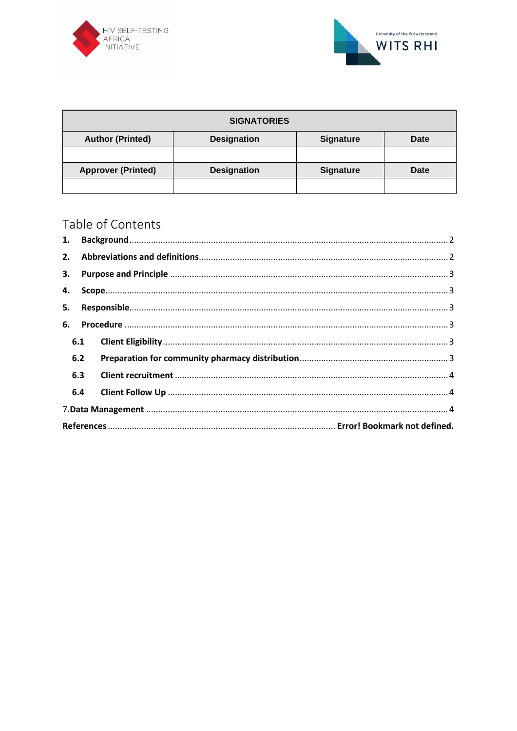



| <b>SIGNATORIES</b>        |                    |                  |             |  |  |  |  |
|---------------------------|--------------------|------------------|-------------|--|--|--|--|
| <b>Author (Printed)</b>   | <b>Designation</b> | <b>Signature</b> | <b>Date</b> |  |  |  |  |
|                           |                    |                  |             |  |  |  |  |
| <b>Approver (Printed)</b> | <b>Designation</b> | <b>Signature</b> | <b>Date</b> |  |  |  |  |
|                           |                    |                  |             |  |  |  |  |

# Table of Contents

| 1.  |  |  |  |  |  |
|-----|--|--|--|--|--|
|     |  |  |  |  |  |
|     |  |  |  |  |  |
| 4.  |  |  |  |  |  |
| 5.  |  |  |  |  |  |
|     |  |  |  |  |  |
| 6.  |  |  |  |  |  |
| 6.1 |  |  |  |  |  |
| 6.2 |  |  |  |  |  |
| 6.3 |  |  |  |  |  |
| 6.4 |  |  |  |  |  |
|     |  |  |  |  |  |
|     |  |  |  |  |  |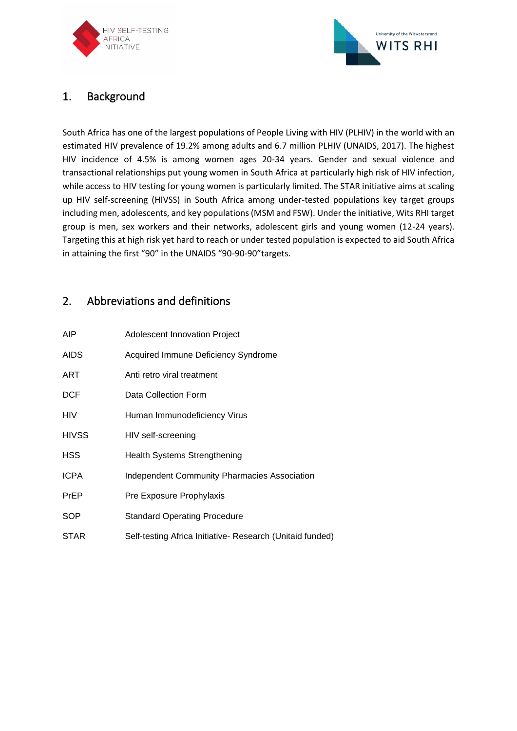



# <span id="page-1-0"></span>1. Background

South Africa has one of the largest populations of People Living with HIV (PLHIV) in the world with an estimated HIV prevalence of 19.2% among adults and 6.7 million PLHIV (UNAIDS, 2017). The highest HIV incidence of 4.5% is among women ages 20-34 years. Gender and sexual violence and transactional relationships put young women in South Africa at particularly high risk of HIV infection, while access to HIV testing for young women is particularly limited. The STAR initiative aims at scaling up HIV self-screening (HIVSS) in South Africa among under-tested populations key target groups including men, adolescents, and key populations (MSM and FSW). Under the initiative, Wits RHI target group is men, sex workers and their networks, adolescent girls and young women (12-24 years). Targeting this at high risk yet hard to reach or under tested population is expected to aid South Africa in attaining the first "90" in the UNAIDS "90-90-90"targets.

## <span id="page-1-1"></span>2. Abbreviations and definitions

| AIP          | <b>Adolescent Innovation Project</b>                      |
|--------------|-----------------------------------------------------------|
| <b>AIDS</b>  | Acquired Immune Deficiency Syndrome                       |
| ART          | Anti retro viral treatment                                |
| <b>DCF</b>   | Data Collection Form                                      |
| HIV          | Human Immunodeficiency Virus                              |
| <b>HIVSS</b> | HIV self-screening                                        |
| HSS          | <b>Health Systems Strengthening</b>                       |
| <b>ICPA</b>  | <b>Independent Community Pharmacies Association</b>       |
| PrEP         | Pre Exposure Prophylaxis                                  |
| SOP          | <b>Standard Operating Procedure</b>                       |
| <b>STAR</b>  | Self-testing Africa Initiative- Research (Unitaid funded) |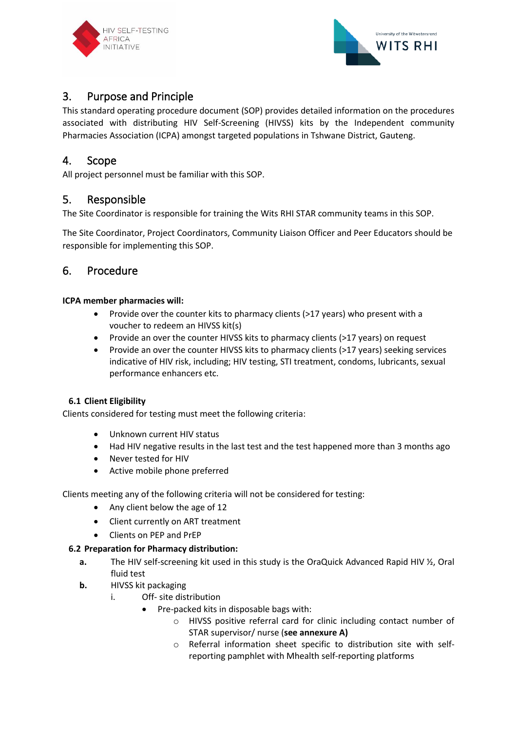



### <span id="page-2-0"></span>3. Purpose and Principle

This standard operating procedure document (SOP) provides detailed information on the procedures associated with distributing HIV Self-Screening (HIVSS) kits by the Independent community Pharmacies Association (ICPA) amongst targeted populations in Tshwane District, Gauteng.

### <span id="page-2-1"></span>4. Scope

All project personnel must be familiar with this SOP.

### <span id="page-2-2"></span>5. Responsible

The Site Coordinator is responsible for training the Wits RHI STAR community teams in this SOP.

The Site Coordinator, Project Coordinators, Community Liaison Officer and Peer Educators should be responsible for implementing this SOP.

### <span id="page-2-4"></span><span id="page-2-3"></span>6. Procedure

#### **ICPA member pharmacies will:**

- Provide over the counter kits to pharmacy clients (>17 years) who present with a voucher to redeem an HIVSS kit(s)
- Provide an over the counter HIVSS kits to pharmacy clients (>17 years) on request
- Provide an over the counter HIVSS kits to pharmacy clients (>17 years) seeking services indicative of HIV risk, including; HIV testing, STI treatment, condoms, lubricants, sexual performance enhancers etc.

### **6.1 Client Eligibility**

Clients considered for testing must meet the following criteria:

- Unknown current HIV status
- Had HIV negative results in the last test and the test happened more than 3 months ago
- Never tested for HIV
- Active mobile phone preferred

Clients meeting any of the following criteria will not be considered for testing:

- Any client below the age of 12
- Client currently on ART treatment
- <span id="page-2-5"></span>• Clients on PEP and PrEP

#### **6.2 Preparation for Pharmacy distribution:**

- **a.** The HIV self-screening kit used in this study is the OraQuick Advanced Rapid HIV ½, Oral fluid test
- **b.** HIVSS kit packaging
	- i. Off- site distribution
		- Pre-packed kits in disposable bags with:
			- o HIVSS positive referral card for clinic including contact number of STAR supervisor/ nurse (**see annexure A)**
			- o Referral information sheet specific to distribution site with selfreporting pamphlet with Mhealth self-reporting platforms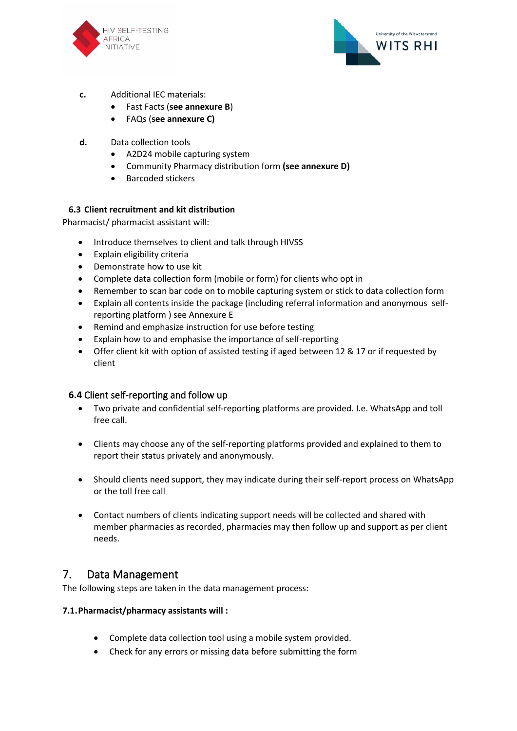



- **c.** Additional IEC materials:
	- Fast Facts (**see annexure B**)
	- FAQs (**see annexure C)**
- **d.** Data collection tools
	- A2D24 mobile capturing system
	- Community Pharmacy distribution form **(see annexure D)**
	- Barcoded stickers

#### <span id="page-3-0"></span>**6.3 Client recruitment and kit distribution**

Pharmacist/ pharmacist assistant will:

- Introduce themselves to client and talk through HIVSS
- Explain eligibility criteria
- Demonstrate how to use kit
- Complete data collection form (mobile or form) for clients who opt in
- Remember to scan bar code on to mobile capturing system or stick to data collection form
- Explain all contents inside the package (including referral information and anonymous selfreporting platform ) see Annexure E
- Remind and emphasize instruction for use before testing
- Explain how to and emphasise the importance of self-reporting
- Offer client kit with option of assisted testing if aged between 12 & 17 or if requested by client

#### <span id="page-3-1"></span>**6.4** Client self-reporting and follow up

- Two private and confidential self-reporting platforms are provided. I.e. WhatsApp and toll free call.
- Clients may choose any of the self-reporting platforms provided and explained to them to report their status privately and anonymously.
- Should clients need support, they may indicate during their self-report process on WhatsApp or the toll free call
- Contact numbers of clients indicating support needs will be collected and shared with member pharmacies as recorded, pharmacies may then follow up and support as per client needs.

### <span id="page-3-2"></span>7. Data Management

The following steps are taken in the data management process:

#### **7.1.Pharmacist/pharmacy assistants will :**

- Complete data collection tool using a mobile system provided.
- Check for any errors or missing data before submitting the form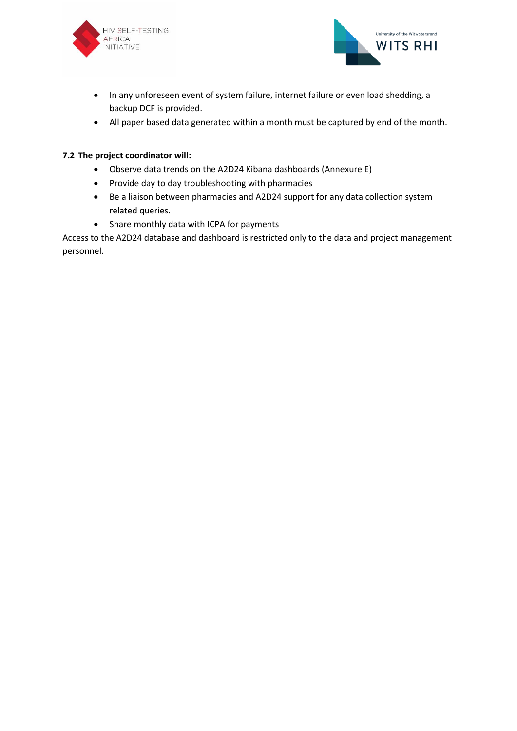



- In any unforeseen event of system failure, internet failure or even load shedding, a backup DCF is provided.
- All paper based data generated within a month must be captured by end of the month.

#### **7.2 The project coordinator will:**

- Observe data trends on the A2D24 Kibana dashboards (Annexure E)
- Provide day to day troubleshooting with pharmacies
- Be a liaison between pharmacies and A2D24 support for any data collection system related queries.
- Share monthly data with ICPA for payments

Access to the A2D24 database and dashboard is restricted only to the data and project management personnel.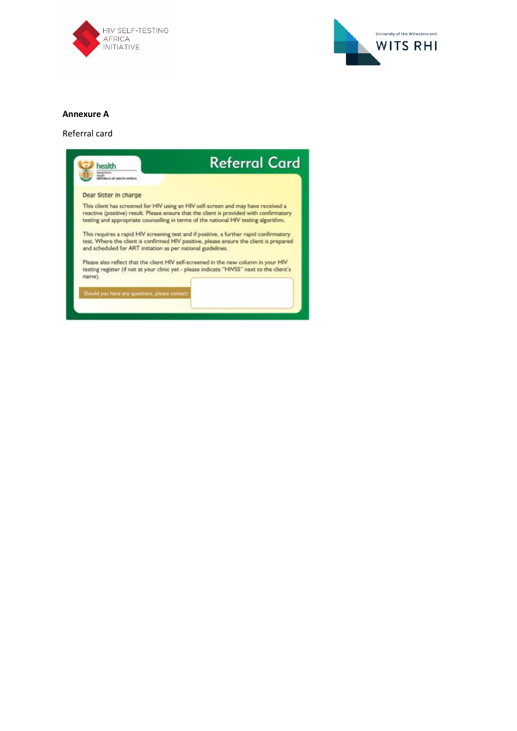



#### **Annexure A**

#### Referral card

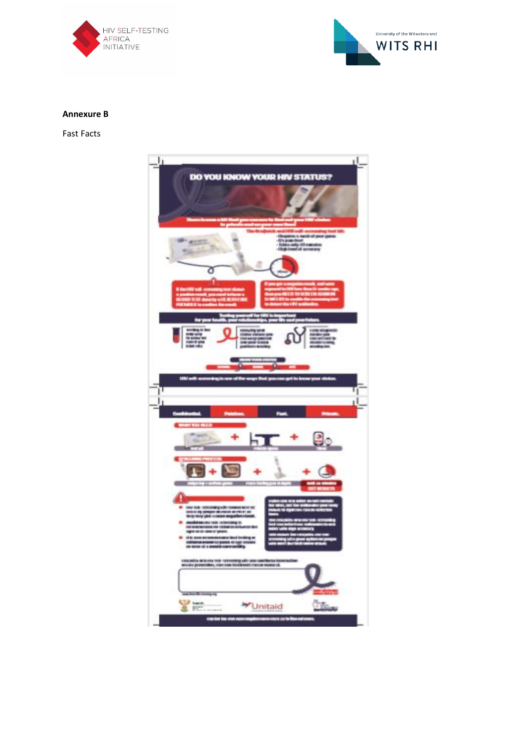



#### **Annexure B**

Fast Facts

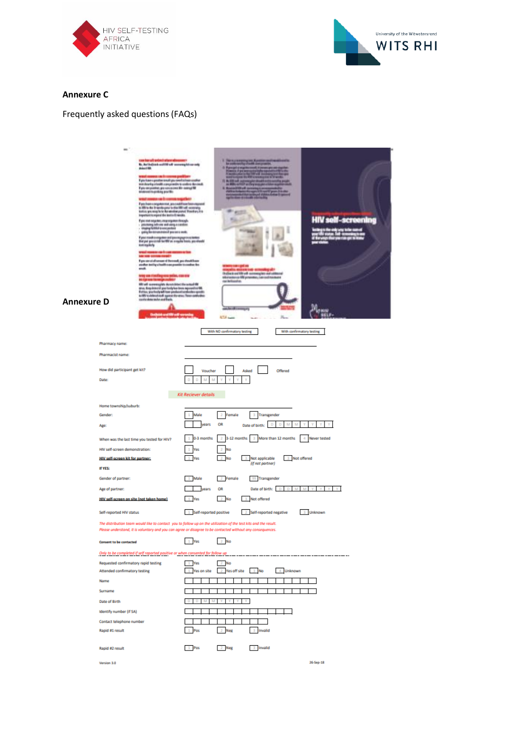



#### **Annexure C**

### Frequently asked questions (FAQs)

| <b>Annexure D</b> | m                                                                                                                                                                                                              | can barally arbitricity<br><b>Br., Authorizado authorization company hit can usely</b><br>Arkent Mil.<br>wal assura i de financiera pe<br>If you know a genetice needs you covert telloom accellent<br>trid daurkig utaukk zurzpistalite to andieu Keronak.<br>If più renprentan, pia nav-piama kie-keany/Mf<br>aristo na profesional positivo<br>went researched to the company and the to-<br>if you from a sergentement, your easilithican becomes provided and controller.<br>In 1997 to the interesting one in chiractific with vectoring<br>kratus you way hate the adverse part of Theodory P.A.<br>Important to report the text in the weaks.<br>If you can say may any vegetor through.<br>processes infrare with simps constite<br>- steping further possessment<br>- gaing for strumstate of possess analy.<br>K place stands to entigate to and in an engagement activation.<br>that put gave so rule has fifth on a regular boosts, possibioutel<br>kotingilishy<br>Grazi roman an il communerazion<br>Necros access romali<br>If you can ad of someon of the roads, you choosin boom<br>ander territy a bath car posite in codes the<br>anak.<br>troy am i Intifagnou jedan, con o o<br>es dans<br>MV will surrescupits do solditus i the ortault MF<br>mas, they denoted you hady has been reposed out \$8.<br>If after, you hady will have produced and solvening greats<br>to MV to obtain him it against the stress These combustions.<br>control shows to be used that is, |                                                                                                           | <b>E. Thema mm</b><br>m<br>car betraches.<br>ATA A                      | L GOING DO BI<br><b>THE AURILE</b><br><b>Include and MV and commerging and cubboard</b><br>educational AN procedes, can subtracture | 36                                   | <b>HIV self-screening</b>               |  |
|-------------------|----------------------------------------------------------------------------------------------------------------------------------------------------------------------------------------------------------------|-----------------------------------------------------------------------------------------------------------------------------------------------------------------------------------------------------------------------------------------------------------------------------------------------------------------------------------------------------------------------------------------------------------------------------------------------------------------------------------------------------------------------------------------------------------------------------------------------------------------------------------------------------------------------------------------------------------------------------------------------------------------------------------------------------------------------------------------------------------------------------------------------------------------------------------------------------------------------------------------------------------------------------------------------------------------------------------------------------------------------------------------------------------------------------------------------------------------------------------------------------------------------------------------------------------------------------------------------------------------------------------------------------------------------------------------------------------------------------------------------|-----------------------------------------------------------------------------------------------------------|-------------------------------------------------------------------------|-------------------------------------------------------------------------------------------------------------------------------------|--------------------------------------|-----------------------------------------|--|
|                   | Pharmacy name:<br>Pharmacist name:<br>How did participant get kit?<br>Date:                                                                                                                                    |                                                                                                                                                                                                                                                                                                                                                                                                                                                                                                                                                                                                                                                                                                                                                                                                                                                                                                                                                                                                                                                                                                                                                                                                                                                                                                                                                                                                                                                                                               | Voucher<br>D<br>M<br>м                                                                                    | With NO confirmatory testing                                            | Asked<br>٧                                                                                                                          | With confirmatory testing<br>Offered |                                         |  |
|                   | Home township/suburb:<br>Gender:<br>Age:<br>When was the last time you tested for HIV?<br>HIV self-screen demonstration:<br>HIV self-screen kit for partner:                                                   |                                                                                                                                                                                                                                                                                                                                                                                                                                                                                                                                                                                                                                                                                                                                                                                                                                                                                                                                                                                                                                                                                                                                                                                                                                                                                                                                                                                                                                                                                               | <b>Kit Reciever details</b><br>Male<br>1<br>years<br>0-3 months<br>$\mathbf{1}$<br>1<br>Yes<br><b>Yes</b> | 2 Female<br>OR<br>2<br>3-12 months<br>$\overline{2}$<br>No<br><b>No</b> | 3<br>Transgender<br>D<br>D<br>Date of birth:<br>3 More than 12 months<br>3 Not applicable                                           | M<br>M<br>γ<br>3 Not offered         | 4 Never tested                          |  |
|                   | If YES:<br>Gender of partner:<br>Age of partner:<br>HIV self-screen on site (not taken home)<br>Self-reported HIV status                                                                                       | The distribution team would like to contact you to follow up on the utilization of the test kits and the result.<br>Please understand, it is voluntary and you can agree or disagree to be contacted without any consequences.                                                                                                                                                                                                                                                                                                                                                                                                                                                                                                                                                                                                                                                                                                                                                                                                                                                                                                                                                                                                                                                                                                                                                                                                                                                                | 1 Male<br>years<br>1 Yes<br>1 Self-reported positive                                                      | 2 Female<br>OR<br>$2$ No                                                | (if not partner)<br>99 Transgender<br>Date of birth: D D M M Y<br>Not offered<br>2 Self-reported negative                           |                                      | V.<br><b>Y</b><br><b>Y</b><br>3 Unknown |  |
|                   | Consent to be contacted<br>Requested confirmatory rapid testing<br>Attended confirmatory testing<br>Name<br>Surname<br>Date of Birth<br>Identify number (if SA)<br>Contact telephone number<br>Rapid #1 result | Only to be completed if self reported positive or when consented for follow up                                                                                                                                                                                                                                                                                                                                                                                                                                                                                                                                                                                                                                                                                                                                                                                                                                                                                                                                                                                                                                                                                                                                                                                                                                                                                                                                                                                                                | 1 Yes<br>1 Yes<br>1 Yes on site<br>1 Pos                                                                  | $2$ No<br>$2$ No<br>2 Yes off site 3 No<br>2 Neg                        | Invalid                                                                                                                             | 4 Unknown                            |                                         |  |
|                   | Rapid #2 result<br>Version 3.0                                                                                                                                                                                 |                                                                                                                                                                                                                                                                                                                                                                                                                                                                                                                                                                                                                                                                                                                                                                                                                                                                                                                                                                                                                                                                                                                                                                                                                                                                                                                                                                                                                                                                                               | $1$ Pos                                                                                                   | 2 Neg                                                                   | 3 Invalid                                                                                                                           |                                      | 26-Sep-18                               |  |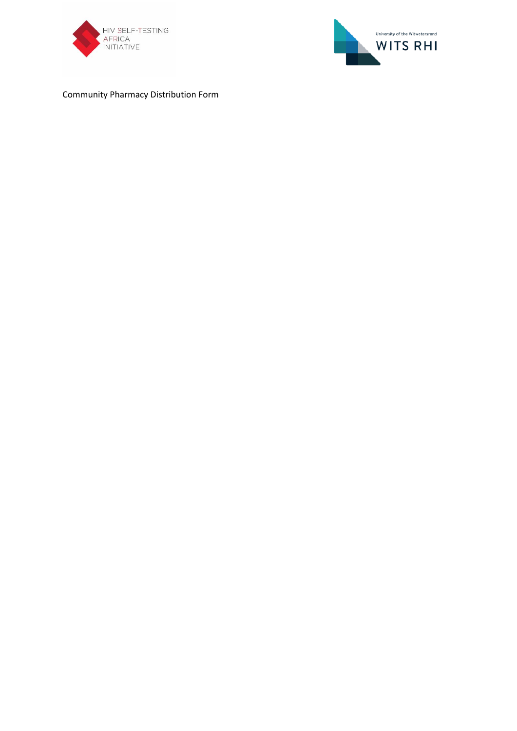



Community Pharmacy Distribution Form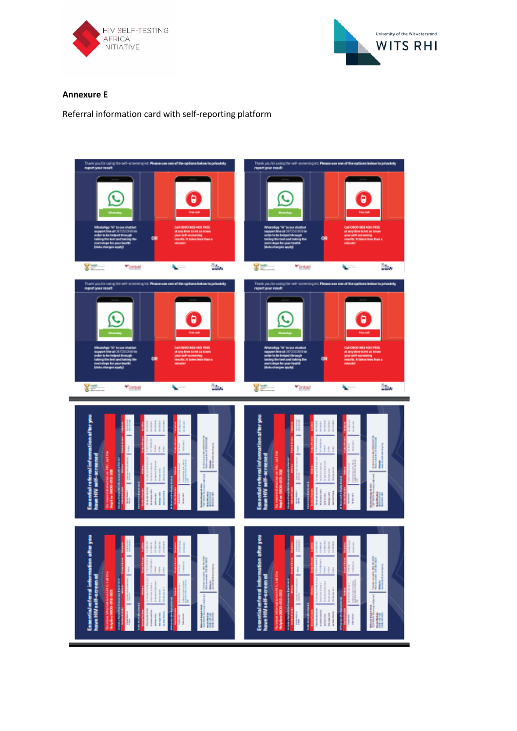



#### **Annexure E**

Referral information card with self-reporting platform